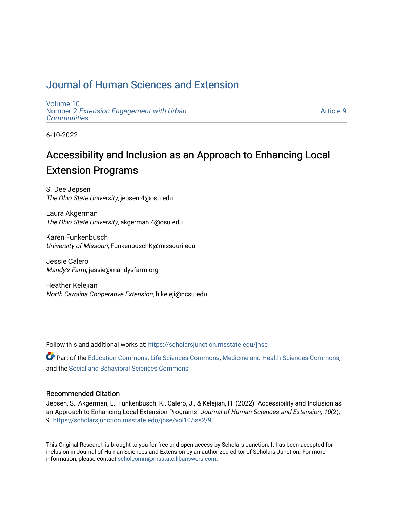# [Journal of Human Sciences and Extension](https://scholarsjunction.msstate.edu/jhse)

[Volume 10](https://scholarsjunction.msstate.edu/jhse/vol10) Number 2 [Extension Engagement with Urban](https://scholarsjunction.msstate.edu/jhse/vol10/iss2) **[Communities](https://scholarsjunction.msstate.edu/jhse/vol10/iss2)** 

[Article 9](https://scholarsjunction.msstate.edu/jhse/vol10/iss2/9) 

6-10-2022

# Accessibility and Inclusion as an Approach to Enhancing Local Extension Programs

S. Dee Jepsen The Ohio State University, jepsen.4@osu.edu

Laura Akgerman The Ohio State University, akgerman.4@osu.edu

Karen Funkenbusch University of Missouri, FunkenbuschK@missouri.edu

Jessie Calero Mandy's Farm, jessie@mandysfarm.org

Heather Kelejian North Carolina Cooperative Extension, hlkeleji@ncsu.edu

Follow this and additional works at: [https://scholarsjunction.msstate.edu/jhse](https://scholarsjunction.msstate.edu/jhse?utm_source=scholarsjunction.msstate.edu%2Fjhse%2Fvol10%2Fiss2%2F9&utm_medium=PDF&utm_campaign=PDFCoverPages)

Part of the [Education Commons](https://network.bepress.com/hgg/discipline/784?utm_source=scholarsjunction.msstate.edu%2Fjhse%2Fvol10%2Fiss2%2F9&utm_medium=PDF&utm_campaign=PDFCoverPages), [Life Sciences Commons](https://network.bepress.com/hgg/discipline/1016?utm_source=scholarsjunction.msstate.edu%2Fjhse%2Fvol10%2Fiss2%2F9&utm_medium=PDF&utm_campaign=PDFCoverPages), [Medicine and Health Sciences Commons](https://network.bepress.com/hgg/discipline/648?utm_source=scholarsjunction.msstate.edu%2Fjhse%2Fvol10%2Fiss2%2F9&utm_medium=PDF&utm_campaign=PDFCoverPages), and the [Social and Behavioral Sciences Commons](https://network.bepress.com/hgg/discipline/316?utm_source=scholarsjunction.msstate.edu%2Fjhse%2Fvol10%2Fiss2%2F9&utm_medium=PDF&utm_campaign=PDFCoverPages) 

#### Recommended Citation

Jepsen, S., Akgerman, L., Funkenbusch, K., Calero, J., & Kelejian, H. (2022). Accessibility and Inclusion as an Approach to Enhancing Local Extension Programs. Journal of Human Sciences and Extension, 10(2), 9. [https://scholarsjunction.msstate.edu/jhse/vol10/iss2/9](https://scholarsjunction.msstate.edu/jhse/vol10/iss2/9?utm_source=scholarsjunction.msstate.edu%2Fjhse%2Fvol10%2Fiss2%2F9&utm_medium=PDF&utm_campaign=PDFCoverPages) 

This Original Research is brought to you for free and open access by Scholars Junction. It has been accepted for inclusion in Journal of Human Sciences and Extension by an authorized editor of Scholars Junction. For more information, please contact [scholcomm@msstate.libanswers.com](mailto:scholcomm@msstate.libanswers.com).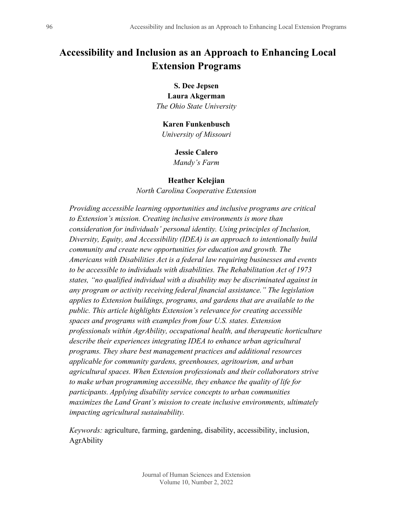# **Accessibility and Inclusion as an Approach to Enhancing Local Extension Programs**

#### **S. Dee Jepsen**

**Laura Akgerman** *The Ohio State University*

#### **Karen Funkenbusch**

*University of Missouri*

#### **Jessie Calero**

*Mandy's Farm*

#### **Heather Kelejian**

*North Carolina Cooperative Extension*

*Providing accessible learning opportunities and inclusive programs are critical to Extension's mission. Creating inclusive environments is more than consideration for individuals' personal identity. Using principles of Inclusion, Diversity, Equity, and Accessibility (IDEA) is an approach to intentionally build community and create new opportunities for education and growth. The Americans with Disabilities Act is a federal law requiring businesses and events to be accessible to individuals with disabilities. The Rehabilitation Act of 1973 states, "no qualified individual with a disability may be discriminated against in any program or activity receiving federal financial assistance." The legislation applies to Extension buildings, programs, and gardens that are available to the public. This article highlights Extension's relevance for creating accessible spaces and programs with examples from four U.S. states. Extension professionals within AgrAbility, occupational health, and therapeutic horticulture describe their experiences integrating IDEA to enhance urban agricultural programs. They share best management practices and additional resources applicable for community gardens, greenhouses, agritourism, and urban agricultural spaces. When Extension professionals and their collaborators strive to make urban programming accessible, they enhance the quality of life for participants. Applying disability service concepts to urban communities maximizes the Land Grant's mission to create inclusive environments, ultimately impacting agricultural sustainability.* 

*Keywords:* agriculture, farming, gardening, disability, accessibility, inclusion, AgrAbility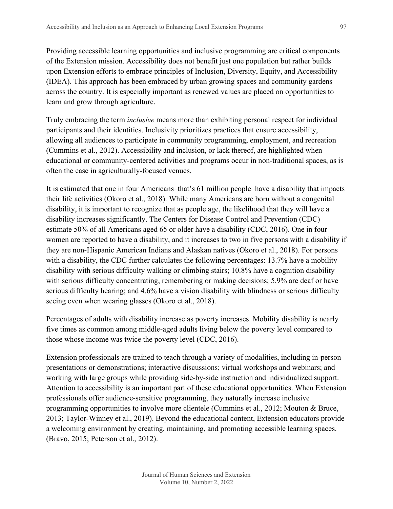Providing accessible learning opportunities and inclusive programming are critical components of the Extension mission. Accessibility does not benefit just one population but rather builds upon Extension efforts to embrace principles of Inclusion, Diversity, Equity, and Accessibility (IDEA). This approach has been embraced by urban growing spaces and community gardens across the country. It is especially important as renewed values are placed on opportunities to learn and grow through agriculture.

Truly embracing the term *inclusive* means more than exhibiting personal respect for individual participants and their identities. Inclusivity prioritizes practices that ensure accessibility, allowing all audiences to participate in community programming, employment, and recreation (Cummins et al., 2012). Accessibility and inclusion, or lack thereof, are highlighted when educational or community-centered activities and programs occur in non-traditional spaces, as is often the case in agriculturally-focused venues.

It is estimated that one in four Americans–that's 61 million people–have a disability that impacts their life activities (Okoro et al., 2018). While many Americans are born without a congenital disability, it is important to recognize that as people age, the likelihood that they will have a disability increases significantly. The Centers for Disease Control and Prevention (CDC) estimate 50% of all Americans aged 65 or older have a disability (CDC, 2016). One in four women are reported to have a disability, and it increases to two in five persons with a disability if they are non-Hispanic American Indians and Alaskan natives (Okoro et al., 2018). For persons with a disability, the CDC further calculates the following percentages: 13.7% have a mobility disability with serious difficulty walking or climbing stairs; 10.8% have a cognition disability with serious difficulty concentrating, remembering or making decisions; 5.9% are deaf or have serious difficulty hearing; and 4.6% have a vision disability with blindness or serious difficulty seeing even when wearing glasses (Okoro et al., 2018).

Percentages of adults with disability increase as poverty increases. Mobility disability is nearly five times as common among middle-aged adults living below the poverty level compared to those whose income was twice the poverty level (CDC, 2016).

Extension professionals are trained to teach through a variety of modalities, including in-person presentations or demonstrations; interactive discussions; virtual workshops and webinars; and working with large groups while providing side-by-side instruction and individualized support. Attention to accessibility is an important part of these educational opportunities. When Extension professionals offer audience-sensitive programming, they naturally increase inclusive programming opportunities to involve more clientele (Cummins et al., 2012; Mouton & Bruce, 2013; Taylor-Winney et al., 2019). Beyond the educational content, Extension educators provide a welcoming environment by creating, maintaining, and promoting accessible learning spaces. (Bravo, 2015; Peterson et al., 2012).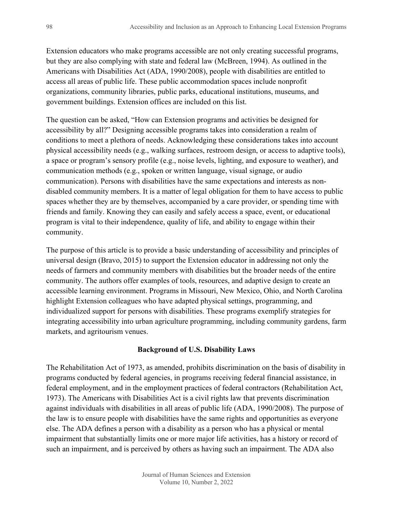Extension educators who make programs accessible are not only creating successful programs, but they are also complying with state and federal law (McBreen, 1994). As outlined in the Americans with Disabilities Act (ADA, 1990/2008), people with disabilities are entitled to access all areas of public life. These public accommodation spaces include nonprofit organizations, community libraries, public parks, educational institutions, museums, and government buildings. Extension offices are included on this list.

The question can be asked, "How can Extension programs and activities be designed for accessibility by all?" Designing accessible programs takes into consideration a realm of conditions to meet a plethora of needs. Acknowledging these considerations takes into account physical accessibility needs (e.g., walking surfaces, restroom design, or access to adaptive tools), a space or program's sensory profile (e.g., noise levels, lighting, and exposure to weather), and communication methods (e.g., spoken or written language, visual signage, or audio communication). Persons with disabilities have the same expectations and interests as nondisabled community members. It is a matter of legal obligation for them to have access to public spaces whether they are by themselves, accompanied by a care provider, or spending time with friends and family. Knowing they can easily and safely access a space, event, or educational program is vital to their independence, quality of life, and ability to engage within their community.

The purpose of this article is to provide a basic understanding of accessibility and principles of universal design (Bravo, 2015) to support the Extension educator in addressing not only the needs of farmers and community members with disabilities but the broader needs of the entire community. The authors offer examples of tools, resources, and adaptive design to create an accessible learning environment. Programs in Missouri, New Mexico, Ohio, and North Carolina highlight Extension colleagues who have adapted physical settings, programming, and individualized support for persons with disabilities. These programs exemplify strategies for integrating accessibility into urban agriculture programming, including community gardens, farm markets, and agritourism venues.

#### **Background of U.S. Disability Laws**

The Rehabilitation Act of 1973, as amended, prohibits discrimination on the basis of disability in programs conducted by federal agencies, in programs receiving federal financial assistance, in federal employment, and in the employment practices of federal contractors (Rehabilitation Act, 1973). The Americans with Disabilities Act is a civil rights law that prevents discrimination against individuals with disabilities in all areas of public life (ADA, 1990/2008). The purpose of the law is to ensure people with disabilities have the same rights and opportunities as everyone else. The ADA defines a person with a disability as a person who has a physical or mental impairment that substantially limits one or more major life activities, has a history or record of such an impairment, and is perceived by others as having such an impairment. The ADA also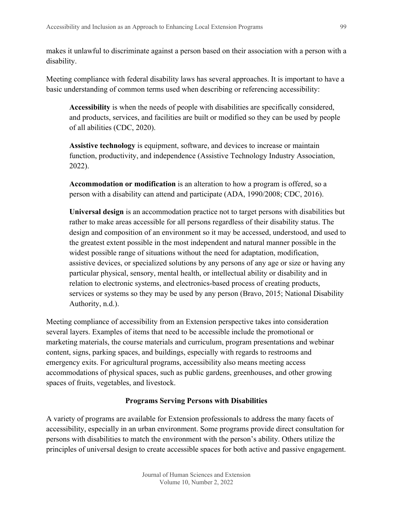makes it unlawful to discriminate against a person based on their association with a person with a disability.

Meeting compliance with federal disability laws has several approaches. It is important to have a basic understanding of common terms used when describing or referencing accessibility:

**Accessibility** is when the needs of people with disabilities are specifically considered, and products, services, and facilities are built or modified so they can be used by people of all abilities (CDC, 2020).

**Assistive technology** is equipment, software, and devices to increase or maintain function, productivity, and independence (Assistive Technology Industry Association, 2022).

**Accommodation or modification** is an alteration to how a program is offered, so a person with a disability can attend and participate (ADA, 1990/2008; CDC, 2016).

**Universal design** is an accommodation practice not to target persons with disabilities but rather to make areas accessible for all persons regardless of their disability status. The design and composition of an environment so it may be accessed, understood, and used to the greatest extent possible in the most independent and natural manner possible in the widest possible range of situations without the need for adaptation, modification, assistive devices, or specialized solutions by any persons of any age or size or having any particular physical, sensory, mental health, or intellectual ability or disability and in relation to electronic systems, and electronics-based process of creating products, services or systems so they may be used by any person (Bravo, 2015; National Disability Authority, n.d.).

Meeting compliance of accessibility from an Extension perspective takes into consideration several layers. Examples of items that need to be accessible include the promotional or marketing materials, the course materials and curriculum, program presentations and webinar content, signs, parking spaces, and buildings, especially with regards to restrooms and emergency exits. For agricultural programs, accessibility also means meeting access accommodations of physical spaces, such as public gardens, greenhouses, and other growing spaces of fruits, vegetables, and livestock.

## **Programs Serving Persons with Disabilities**

A variety of programs are available for Extension professionals to address the many facets of accessibility, especially in an urban environment. Some programs provide direct consultation for persons with disabilities to match the environment with the person's ability. Others utilize the principles of universal design to create accessible spaces for both active and passive engagement.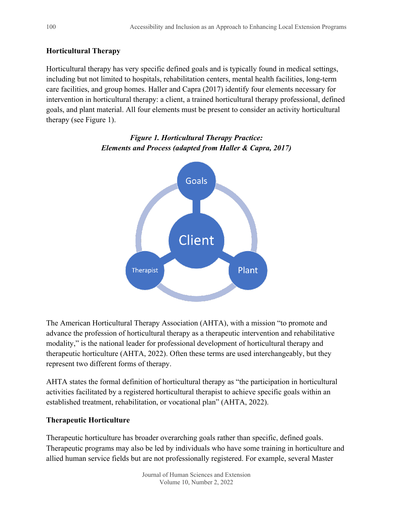# **Horticultural Therapy**

Horticultural therapy has very specific defined goals and is typically found in medical settings, including but not limited to hospitals, rehabilitation centers, mental health facilities, long-term care facilities, and group homes. Haller and Capra (2017) identify four elements necessary for intervention in horticultural therapy: a client, a trained horticultural therapy professional, defined goals, and plant material. All four elements must be present to consider an activity horticultural therapy (see Figure 1).



# *Figure 1. Horticultural Therapy Practice: Elements and Process (adapted from Haller & Capra, 2017)*

The American Horticultural Therapy Association (AHTA), with a mission "to promote and advance the profession of horticultural therapy as a therapeutic intervention and rehabilitative modality," is the national leader for professional development of horticultural therapy and therapeutic horticulture (AHTA, 2022). Often these terms are used interchangeably, but they represent two different forms of therapy.

AHTA states the formal definition of horticultural therapy as "the participation in horticultural activities facilitated by a registered horticultural therapist to achieve specific goals within an established treatment, rehabilitation, or vocational plan" (AHTA, 2022).

# **Therapeutic Horticulture**

Therapeutic horticulture has broader overarching goals rather than specific, defined goals. Therapeutic programs may also be led by individuals who have some training in horticulture and allied human service fields but are not professionally registered. For example, several Master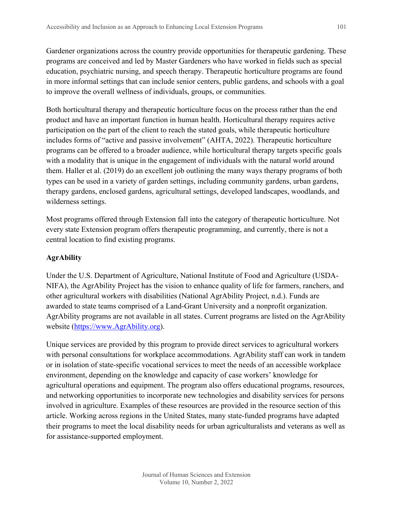Gardener organizations across the country provide opportunities for therapeutic gardening. These programs are conceived and led by Master Gardeners who have worked in fields such as special education, psychiatric nursing, and speech therapy. Therapeutic horticulture programs are found in more informal settings that can include senior centers, public gardens, and schools with a goal to improve the overall wellness of individuals, groups, or communities.

Both horticultural therapy and therapeutic horticulture focus on the process rather than the end product and have an important function in human health. Horticultural therapy requires active participation on the part of the client to reach the stated goals, while therapeutic horticulture includes forms of "active and passive involvement" (AHTA, 2022). Therapeutic horticulture programs can be offered to a broader audience, while horticultural therapy targets specific goals with a modality that is unique in the engagement of individuals with the natural world around them. Haller et al. (2019) do an excellent job outlining the many ways therapy programs of both types can be used in a variety of garden settings, including community gardens, urban gardens, therapy gardens, enclosed gardens, agricultural settings, developed landscapes, woodlands, and wilderness settings.

Most programs offered through Extension fall into the category of therapeutic horticulture. Not every state Extension program offers therapeutic programming, and currently, there is not a central location to find existing programs.

# **AgrAbility**

Under the U.S. Department of Agriculture, National Institute of Food and Agriculture (USDA-NIFA), the AgrAbility Project has the vision to enhance quality of life for farmers, ranchers, and other agricultural workers with disabilities (National AgrAbility Project, n.d.). Funds are awarded to state teams comprised of a Land-Grant University and a nonprofit organization. AgrAbility programs are not available in all states. Current programs are listed on the AgrAbility website [\(https://www.AgrAbility.org\)](https://www.agrability.org/).

Unique services are provided by this program to provide direct services to agricultural workers with personal consultations for workplace accommodations. AgrAbility staff can work in tandem or in isolation of state-specific vocational services to meet the needs of an accessible workplace environment, depending on the knowledge and capacity of case workers' knowledge for agricultural operations and equipment. The program also offers educational programs, resources, and networking opportunities to incorporate new technologies and disability services for persons involved in agriculture. Examples of these resources are provided in the resource section of this article. Working across regions in the United States, many state-funded programs have adapted their programs to meet the local disability needs for urban agriculturalists and veterans as well as for assistance-supported employment.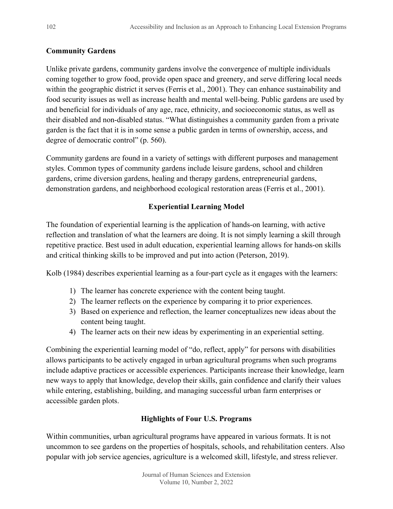# **Community Gardens**

Unlike private gardens, community gardens involve the convergence of multiple individuals coming together to grow food, provide open space and greenery, and serve differing local needs within the geographic district it serves (Ferris et al., 2001). They can enhance sustainability and food security issues as well as increase health and mental well-being. Public gardens are used by and beneficial for individuals of any age, race, ethnicity, and socioeconomic status, as well as their disabled and non-disabled status. "What distinguishes a community garden from a private garden is the fact that it is in some sense a public garden in terms of ownership, access, and degree of democratic control" (p. 560).

Community gardens are found in a variety of settings with different purposes and management styles. Common types of community gardens include leisure gardens, school and children gardens, crime diversion gardens, healing and therapy gardens, entrepreneurial gardens, demonstration gardens, and neighborhood ecological restoration areas (Ferris et al., 2001).

# **Experiential Learning Model**

The foundation of experiential learning is the application of hands-on learning, with active reflection and translation of what the learners are doing. It is not simply learning a skill through repetitive practice. Best used in adult education, experiential learning allows for hands-on skills and critical thinking skills to be improved and put into action (Peterson, 2019).

Kolb (1984) describes experiential learning as a four-part cycle as it engages with the learners:

- 1) The learner has concrete experience with the content being taught.
- 2) The learner reflects on the experience by comparing it to prior experiences.
- 3) Based on experience and reflection, the learner conceptualizes new ideas about the content being taught.
- 4) The learner acts on their new ideas by experimenting in an experiential setting.

Combining the experiential learning model of "do, reflect, apply" for persons with disabilities allows participants to be actively engaged in urban agricultural programs when such programs include adaptive practices or accessible experiences. Participants increase their knowledge, learn new ways to apply that knowledge, develop their skills, gain confidence and clarify their values while entering, establishing, building, and managing successful urban farm enterprises or accessible garden plots.

# **Highlights of Four U.S. Programs**

Within communities, urban agricultural programs have appeared in various formats. It is not uncommon to see gardens on the properties of hospitals, schools, and rehabilitation centers. Also popular with job service agencies, agriculture is a welcomed skill, lifestyle, and stress reliever.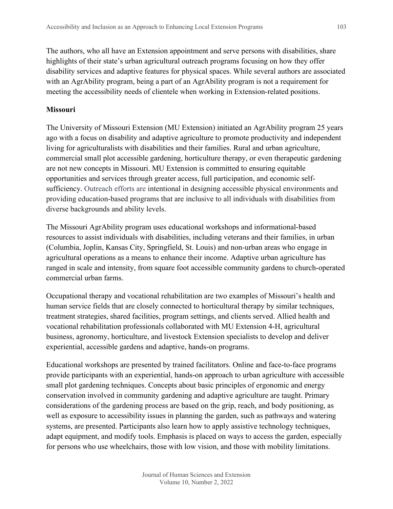The authors, who all have an Extension appointment and serve persons with disabilities, share highlights of their state's urban agricultural outreach programs focusing on how they offer disability services and adaptive features for physical spaces. While several authors are associated with an AgrAbility program, being a part of an AgrAbility program is not a requirement for meeting the accessibility needs of clientele when working in Extension-related positions.

#### **Missouri**

The University of Missouri Extension (MU Extension) initiated an AgrAbility program 25 years ago with a focus on disability and adaptive agriculture to promote productivity and independent living for agriculturalists with disabilities and their families. Rural and urban agriculture, commercial small plot accessible gardening, horticulture therapy, or even therapeutic gardening are not new concepts in Missouri. MU Extension is committed to ensuring equitable opportunities and services through greater access, full participation, and economic selfsufficiency. Outreach efforts are intentional in designing accessible physical environments and providing education-based programs that are inclusive to all individuals with disabilities from diverse backgrounds and ability levels.

The Missouri AgrAbility program uses educational workshops and informational-based resources to assist individuals with disabilities, including veterans and their families, in urban (Columbia, Joplin, Kansas City, Springfield, St. Louis) and non-urban areas who engage in agricultural operations as a means to enhance their income. Adaptive urban agriculture has ranged in scale and intensity, from square foot accessible community gardens to church-operated commercial urban farms.

Occupational therapy and vocational rehabilitation are two examples of Missouri's health and human service fields that are closely connected to horticultural therapy by similar techniques, treatment strategies, shared facilities, program settings, and clients served. Allied health and vocational rehabilitation professionals collaborated with MU Extension 4-H, agricultural business, agronomy, horticulture, and livestock Extension specialists to develop and deliver experiential, accessible gardens and adaptive, hands-on programs.

Educational workshops are presented by trained facilitators. Online and face-to-face programs provide participants with an experiential, hands-on approach to urban agriculture with accessible small plot gardening techniques. Concepts about basic principles of ergonomic and energy conservation involved in community gardening and adaptive agriculture are taught. Primary considerations of the gardening process are based on the grip, reach, and body positioning, as well as exposure to accessibility issues in planning the garden, such as pathways and watering systems, are presented. Participants also learn how to apply assistive technology techniques, adapt equipment, and modify tools. Emphasis is placed on ways to access the garden, especially for persons who use wheelchairs, those with low vision, and those with mobility limitations.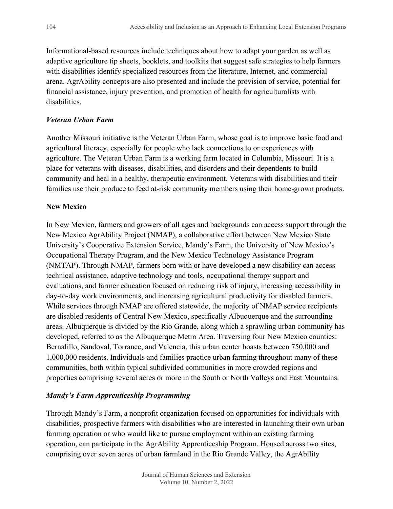Informational-based resources include techniques about how to adapt your garden as well as adaptive agriculture tip sheets, booklets, and toolkits that suggest safe strategies to help farmers with disabilities identify specialized resources from the literature, Internet, and commercial arena. AgrAbility concepts are also presented and include the provision of service, potential for financial assistance, injury prevention, and promotion of health for agriculturalists with disabilities.

#### *Veteran Urban Farm*

Another Missouri initiative is the Veteran Urban Farm, whose goal is to improve basic food and agricultural literacy, especially for people who lack connections to or experiences with agriculture. The Veteran Urban Farm is a working farm located in Columbia, Missouri. It is a place for veterans with diseases, disabilities, and disorders and their dependents to build community and heal in a healthy, therapeutic environment. Veterans with disabilities and their families use their produce to feed at-risk community members using their home-grown products.

#### **New Mexico**

In New Mexico, farmers and growers of all ages and backgrounds can access support through the New Mexico AgrAbility Project (NMAP), a collaborative effort between New Mexico State University's Cooperative Extension Service, Mandy's Farm, the University of New Mexico's Occupational Therapy Program, and the New Mexico Technology Assistance Program (NMTAP). Through NMAP, farmers born with or have developed a new disability can access technical assistance, adaptive technology and tools, occupational therapy support and evaluations, and farmer education focused on reducing risk of injury, increasing accessibility in day-to-day work environments, and increasing agricultural productivity for disabled farmers. While services through NMAP are offered statewide, the majority of NMAP service recipients are disabled residents of Central New Mexico, specifically Albuquerque and the surrounding areas. Albuquerque is divided by the Rio Grande, along which a sprawling urban community has developed, referred to as the Albuquerque Metro Area. Traversing four New Mexico counties: Bernalillo, Sandoval, Torrance, and Valencia, this urban center boasts between 750,000 and 1,000,000 residents. Individuals and families practice urban farming throughout many of these communities, both within typical subdivided communities in more crowded regions and properties comprising several acres or more in the South or North Valleys and East Mountains.

## *Mandy's Farm Apprenticeship Programming*

Through Mandy's Farm, a nonprofit organization focused on opportunities for individuals with disabilities, prospective farmers with disabilities who are interested in launching their own urban farming operation or who would like to pursue employment within an existing farming operation, can participate in the AgrAbility Apprenticeship Program. Housed across two sites, comprising over seven acres of urban farmland in the Rio Grande Valley, the AgrAbility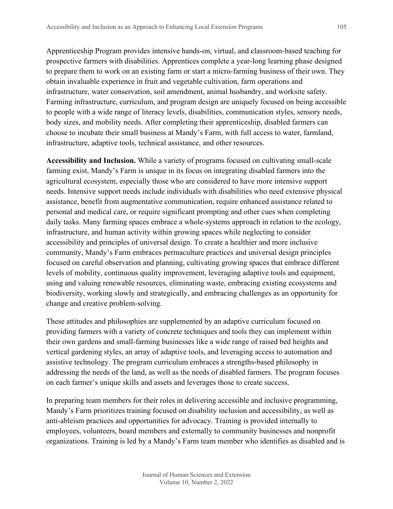Apprenticeship Program provides intensive hands-on, virtual, and classroom-based teaching for prospective farmers with disabilities. Apprentices complete a year-long learning phase designed to prepare them to work on an existing farm or start a micro-farming business of their own. They obtain invaluable experience in fruit and vegetable cultivation, farm operations and infrastructure, water conservation, soil amendment, animal husbandry, and worksite safety. Farming infrastructure, curriculum, and program design are uniquely focused on being accessible to people with a wide range of literacy levels, disabilities, communication styles, sensory needs, body sizes, and mobility needs. After completing their apprenticeship, disabled farmers can choose to incubate their small business at Mandy's Farm, with full access to water, farmland, infrastructure, adaptive tools, technical assistance, and other resources.

**Accessibility and Inclusion.** While a variety of programs focused on cultivating small-scale farming exist, Mandy's Farm is unique in its focus on integrating disabled farmers into the agricultural ecosystem, especially those who are considered to have more intensive support needs. Intensive support needs include individuals with disabilities who need extensive physical assistance, benefit from augmentative communication, require enhanced assistance related to personal and medical care, or require significant prompting and other cues when completing daily tasks. Many farming spaces embrace a whole-systems approach in relation to the ecology, infrastructure, and human activity within growing spaces while neglecting to consider accessibility and principles of universal design. To create a healthier and more inclusive community, Mandy's Farm embraces permaculture practices and universal design principles focused on careful observation and planning, cultivating growing spaces that embrace different levels of mobility, continuous quality improvement, leveraging adaptive tools and equipment, using and valuing renewable resources, eliminating waste, embracing existing ecosystems and biodiversity, working slowly and strategically, and embracing challenges as an opportunity for change and creative problem-solving.

These attitudes and philosophies are supplemented by an adaptive curriculum focused on providing farmers with a variety of concrete techniques and tools they can implement within their own gardens and small-farming businesses like a wide range of raised bed heights and vertical gardening styles, an array of adaptive tools, and leveraging access to automation and assistive technology. The program curriculum embraces a strengths-based philosophy in addressing the needs of the land, as well as the needs of disabled farmers. The program focuses on each farmer's unique skills and assets and leverages those to create success.

In preparing team members for their roles in delivering accessible and inclusive programming, Mandy's Farm prioritizes training focused on disability inclusion and accessibility, as well as anti-ableism practices and opportunities for advocacy. Training is provided internally to employees, volunteers, board members and externally to community businesses and nonprofit organizations. Training is led by a Mandy's Farm team member who identifies as disabled and is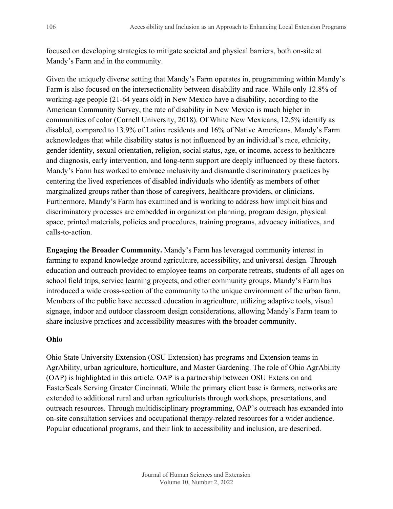focused on developing strategies to mitigate societal and physical barriers, both on-site at Mandy's Farm and in the community.

Given the uniquely diverse setting that Mandy's Farm operates in, programming within Mandy's Farm is also focused on the intersectionality between disability and race. While only 12.8% of working-age people (21-64 years old) in New Mexico have a disability, according to the American Community Survey, the rate of disability in New Mexico is much higher in communities of color (Cornell University, 2018). Of White New Mexicans, 12.5% identify as disabled, compared to 13.9% of Latinx residents and 16% of Native Americans. Mandy's Farm acknowledges that while disability status is not influenced by an individual's race, ethnicity, gender identity, sexual orientation, religion, social status, age, or income, access to healthcare and diagnosis, early intervention, and long-term support are deeply influenced by these factors. Mandy's Farm has worked to embrace inclusivity and dismantle discriminatory practices by centering the lived experiences of disabled individuals who identify as members of other marginalized groups rather than those of caregivers, healthcare providers, or clinicians. Furthermore, Mandy's Farm has examined and is working to address how implicit bias and discriminatory processes are embedded in organization planning, program design, physical space, printed materials, policies and procedures, training programs, advocacy initiatives, and calls-to-action.

**Engaging the Broader Community.** Mandy's Farm has leveraged community interest in farming to expand knowledge around agriculture, accessibility, and universal design. Through education and outreach provided to employee teams on corporate retreats, students of all ages on school field trips, service learning projects, and other community groups, Mandy's Farm has introduced a wide cross-section of the community to the unique environment of the urban farm. Members of the public have accessed education in agriculture, utilizing adaptive tools, visual signage, indoor and outdoor classroom design considerations, allowing Mandy's Farm team to share inclusive practices and accessibility measures with the broader community.

## **Ohio**

Ohio State University Extension (OSU Extension) has programs and Extension teams in AgrAbility, urban agriculture, horticulture, and Master Gardening. The role of Ohio AgrAbility (OAP) is highlighted in this article. OAP is a partnership between OSU Extension and EasterSeals Serving Greater Cincinnati. While the primary client base is farmers, networks are extended to additional rural and urban agriculturists through workshops, presentations, and outreach resources. Through multidisciplinary programming, OAP's outreach has expanded into on-site consultation services and occupational therapy-related resources for a wider audience. Popular educational programs, and their link to accessibility and inclusion, are described.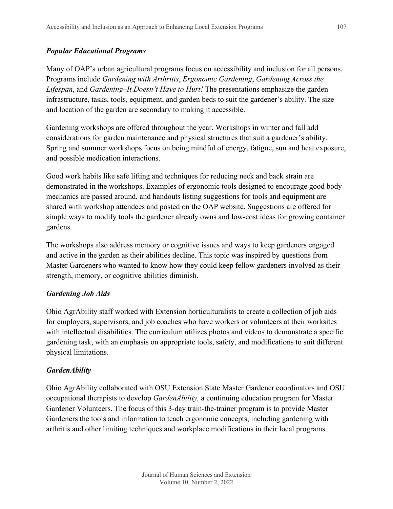## *Popular Educational Programs*

Many of OAP's urban agricultural programs focus on accessibility and inclusion for all persons. Programs include *Gardening with Arthritis*, *Ergonomic Gardening*, *Gardening Across the Lifespan*, and *Gardening–It Doesn't Have to Hurt!* The presentations emphasize the garden infrastructure, tasks, tools, equipment, and garden beds to suit the gardener's ability. The size and location of the garden are secondary to making it accessible.

Gardening workshops are offered throughout the year. Workshops in winter and fall add considerations for garden maintenance and physical structures that suit a gardener's ability. Spring and summer workshops focus on being mindful of energy, fatigue, sun and heat exposure, and possible medication interactions.

Good work habits like safe lifting and techniques for reducing neck and back strain are demonstrated in the workshops. Examples of ergonomic tools designed to encourage good body mechanics are passed around, and handouts listing suggestions for tools and equipment are shared with workshop attendees and posted on the OAP website. Suggestions are offered for simple ways to modify tools the gardener already owns and low-cost ideas for growing container gardens.

The workshops also address memory or cognitive issues and ways to keep gardeners engaged and active in the garden as their abilities decline. This topic was inspired by questions from Master Gardeners who wanted to know how they could keep fellow gardeners involved as their strength, memory, or cognitive abilities diminish.

## *Gardening Job Aids*

Ohio AgrAbility staff worked with Extension horticulturalists to create a collection of job aids for employers, supervisors, and job coaches who have workers or volunteers at their worksites with intellectual disabilities. The curriculum utilizes photos and videos to demonstrate a specific gardening task, with an emphasis on appropriate tools, safety, and modifications to suit different physical limitations.

## *GardenAbility*

Ohio AgrAbility collaborated with OSU Extension State Master Gardener coordinators and OSU occupational therapists to develop *GardenAbility,* a continuing education program for Master Gardener Volunteers. The focus of this 3-day train-the-trainer program is to provide Master Gardeners the tools and information to teach ergonomic concepts, including gardening with arthritis and other limiting techniques and workplace modifications in their local programs.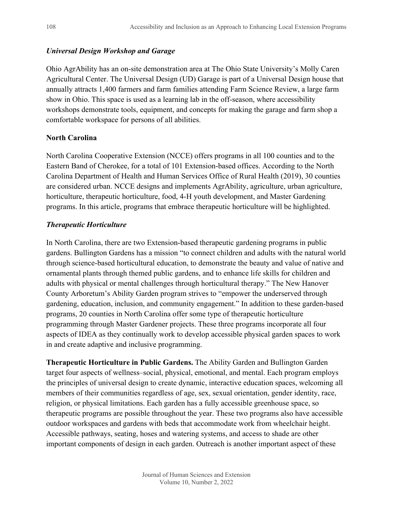## *Universal Design Workshop and Garage*

Ohio AgrAbility has an on-site demonstration area at The Ohio State University's Molly Caren Agricultural Center. The Universal Design (UD) Garage is part of a Universal Design house that annually attracts 1,400 farmers and farm families attending Farm Science Review, a large farm show in Ohio. This space is used as a learning lab in the off-season, where accessibility workshops demonstrate tools, equipment, and concepts for making the garage and farm shop a comfortable workspace for persons of all abilities.

## **North Carolina**

North Carolina Cooperative Extension (NCCE) offers programs in all 100 counties and to the Eastern Band of Cherokee, for a total of 101 Extension-based offices. According to the North Carolina Department of Health and Human Services Office of Rural Health (2019), 30 counties are considered urban. NCCE designs and implements AgrAbility, agriculture, urban agriculture, horticulture, therapeutic horticulture, food, 4-H youth development, and Master Gardening programs. In this article, programs that embrace therapeutic horticulture will be highlighted.

## *Therapeutic Horticulture*

In North Carolina, there are two Extension-based therapeutic gardening programs in public gardens. Bullington Gardens has a mission "to connect children and adults with the natural world through science-based horticultural education, to demonstrate the beauty and value of native and ornamental plants through themed public gardens, and to enhance life skills for children and adults with physical or mental challenges through horticultural therapy." The New Hanover County Arboretum's Ability Garden program strives to "empower the underserved through gardening, education, inclusion, and community engagement." In addition to these garden-based programs, 20 counties in North Carolina offer some type of therapeutic horticulture programming through Master Gardener projects. These three programs incorporate all four aspects of IDEA as they continually work to develop accessible physical garden spaces to work in and create adaptive and inclusive programming.

**Therapeutic Horticulture in Public Gardens.** The Ability Garden and Bullington Garden target four aspects of wellness–social, physical, emotional, and mental. Each program employs the principles of universal design to create dynamic, interactive education spaces, welcoming all members of their communities regardless of age, sex, sexual orientation, gender identity, race, religion, or physical limitations. Each garden has a fully accessible greenhouse space, so therapeutic programs are possible throughout the year. These two programs also have accessible outdoor workspaces and gardens with beds that accommodate work from wheelchair height. Accessible pathways, seating, hoses and watering systems, and access to shade are other important components of design in each garden. Outreach is another important aspect of these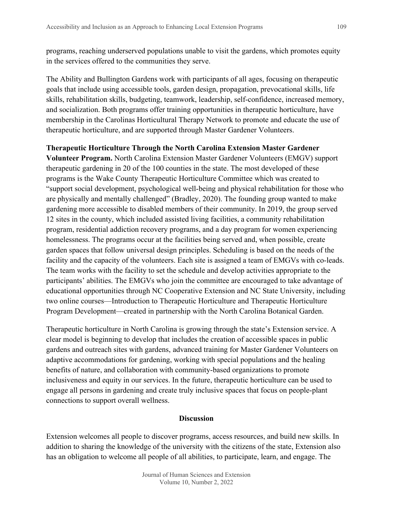programs, reaching underserved populations unable to visit the gardens, which promotes equity in the services offered to the communities they serve.

The Ability and Bullington Gardens work with participants of all ages, focusing on therapeutic goals that include using accessible tools, garden design, propagation, prevocational skills, life skills, rehabilitation skills, budgeting, teamwork, leadership, self-confidence, increased memory, and socialization. Both programs offer training opportunities in therapeutic horticulture, have membership in the Carolinas Horticultural Therapy Network to promote and educate the use of therapeutic horticulture, and are supported through Master Gardener Volunteers.

#### **Therapeutic Horticulture Through the North Carolina Extension Master Gardener**

**Volunteer Program.** North Carolina Extension Master Gardener Volunteers (EMGV) support therapeutic gardening in 20 of the 100 counties in the state. The most developed of these programs is the Wake County Therapeutic Horticulture Committee which was created to "support social development, psychological well-being and physical rehabilitation for those who are physically and mentally challenged" (Bradley, 2020). The founding group wanted to make gardening more accessible to disabled members of their community. In 2019, the group served 12 sites in the county, which included assisted living facilities, a community rehabilitation program, residential addiction recovery programs, and a day program for women experiencing homelessness. The programs occur at the facilities being served and, when possible, create garden spaces that follow universal design principles. Scheduling is based on the needs of the facility and the capacity of the volunteers. Each site is assigned a team of EMGVs with co-leads. The team works with the facility to set the schedule and develop activities appropriate to the participants' abilities. The EMGVs who join the committee are encouraged to take advantage of educational opportunities through NC Cooperative Extension and NC State University, including two online courses—Introduction to Therapeutic Horticulture and Therapeutic Horticulture Program Development—created in partnership with the North Carolina Botanical Garden.

Therapeutic horticulture in North Carolina is growing through the state's Extension service. A clear model is beginning to develop that includes the creation of accessible spaces in public gardens and outreach sites with gardens, advanced training for Master Gardener Volunteers on adaptive accommodations for gardening, working with special populations and the healing benefits of nature, and collaboration with community-based organizations to promote inclusiveness and equity in our services. In the future, therapeutic horticulture can be used to engage all persons in gardening and create truly inclusive spaces that focus on people-plant connections to support overall wellness.

#### **Discussion**

Extension welcomes all people to discover programs, access resources, and build new skills. In addition to sharing the knowledge of the university with the citizens of the state, Extension also has an obligation to welcome all people of all abilities, to participate, learn, and engage. The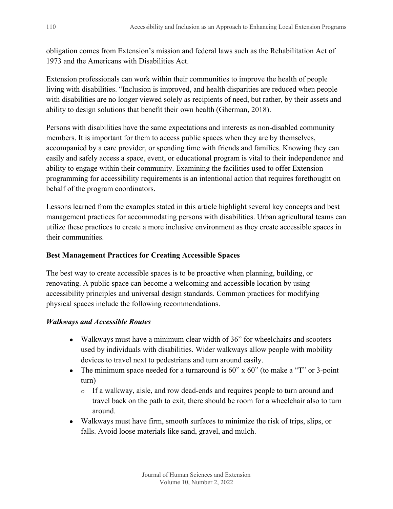obligation comes from Extension's mission and federal laws such as the Rehabilitation Act of 1973 and the Americans with Disabilities Act.

Extension professionals can work within their communities to improve the health of people living with disabilities. "Inclusion is improved, and health disparities are reduced when people with disabilities are no longer viewed solely as recipients of need, but rather, by their assets and ability to design solutions that benefit their own health (Gherman, 2018).

Persons with disabilities have the same expectations and interests as non-disabled community members. It is important for them to access public spaces when they are by themselves, accompanied by a care provider, or spending time with friends and families. Knowing they can easily and safely access a space, event, or educational program is vital to their independence and ability to engage within their community. Examining the facilities used to offer Extension programming for accessibility requirements is an intentional action that requires forethought on behalf of the program coordinators.

Lessons learned from the examples stated in this article highlight several key concepts and best management practices for accommodating persons with disabilities. Urban agricultural teams can utilize these practices to create a more inclusive environment as they create accessible spaces in their communities.

## **Best Management Practices for Creating Accessible Spaces**

The best way to create accessible spaces is to be proactive when planning, building, or renovating. A public space can become a welcoming and accessible location by using accessibility principles and universal design standards. Common practices for modifying physical spaces include the following recommendations.

## *Walkways and Accessible Routes*

- Walkways must have a minimum clear width of 36" for wheelchairs and scooters used by individuals with disabilities. Wider walkways allow people with mobility devices to travel next to pedestrians and turn around easily.
- The minimum space needed for a turnaround is  $60"$  x  $60"$  (to make a "T" or 3-point turn)
	- o If a walkway, aisle, and row dead-ends and requires people to turn around and travel back on the path to exit, there should be room for a wheelchair also to turn around.
- Walkways must have firm, smooth surfaces to minimize the risk of trips, slips, or falls. Avoid loose materials like sand, gravel, and mulch.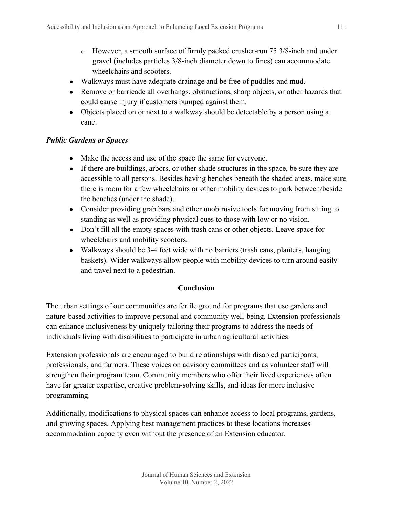- o However, a smooth surface of firmly packed crusher-run 75 3/8-inch and under gravel (includes particles 3/8-inch diameter down to fines) can accommodate wheelchairs and scooters.
- Walkways must have adequate drainage and be free of puddles and mud.
- Remove or barricade all overhangs, obstructions, sharp objects, or other hazards that could cause injury if customers bumped against them.
- Objects placed on or next to a walkway should be detectable by a person using a cane.

## *Public Gardens or Spaces*

- Make the access and use of the space the same for everyone.
- If there are buildings, arbors, or other shade structures in the space, be sure they are accessible to all persons. Besides having benches beneath the shaded areas, make sure there is room for a few wheelchairs or other mobility devices to park between/beside the benches (under the shade).
- Consider providing grab bars and other unobtrusive tools for moving from sitting to standing as well as providing physical cues to those with low or no vision.
- Don't fill all the empty spaces with trash cans or other objects. Leave space for wheelchairs and mobility scooters.
- Walkways should be 3-4 feet wide with no barriers (trash cans, planters, hanging baskets). Wider walkways allow people with mobility devices to turn around easily and travel next to a pedestrian.

#### **Conclusion**

The urban settings of our communities are fertile ground for programs that use gardens and nature-based activities to improve personal and community well-being. Extension professionals can enhance inclusiveness by uniquely tailoring their programs to address the needs of individuals living with disabilities to participate in urban agricultural activities.

Extension professionals are encouraged to build relationships with disabled participants, professionals, and farmers. These voices on advisory committees and as volunteer staff will strengthen their program team. Community members who offer their lived experiences often have far greater expertise, creative problem-solving skills, and ideas for more inclusive programming.

Additionally, modifications to physical spaces can enhance access to local programs, gardens, and growing spaces. Applying best management practices to these locations increases accommodation capacity even without the presence of an Extension educator.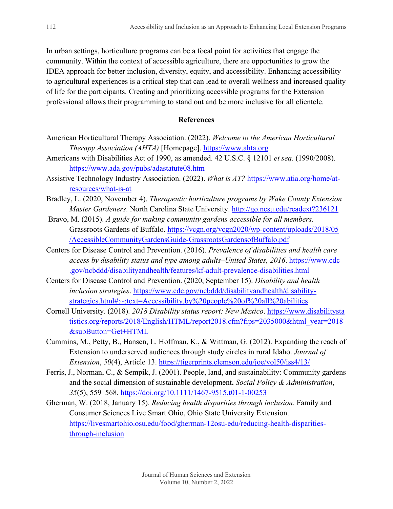In urban settings, horticulture programs can be a focal point for activities that engage the community. Within the context of accessible agriculture, there are opportunities to grow the IDEA approach for better inclusion, diversity, equity, and accessibility. Enhancing accessibility to agricultural experiences is a critical step that can lead to overall wellness and increased quality of life for the participants. Creating and prioritizing accessible programs for the Extension professional allows their programming to stand out and be more inclusive for all clientele.

#### **References**

- American Horticultural Therapy Association. (2022). *Welcome to the American Horticultural Therapy Association (AHTA)* [Homepage]. [https://www.ahta.org](https://www.ahta.org/)
- Americans with Disabilities Act of 1990, as amended. 42 U.S.C. § 12101 *et seq.* (1990/2008). <https://www.ada.gov/pubs/adastatute08.htm>
- Assistive Technology Industry Association. (2022). *What is AT?* [https://www.atia.org/home/at](https://www.atia.org/home/at-resources/what-is-at)[resources/what-is-at](https://www.atia.org/home/at-resources/what-is-at)
- Bradley, L. (2020, November 4). *Therapeutic horticulture programs by Wake County Extension Master Gardeners*. North Carolina State University. <http://go.ncsu.edu/readext?236121>
- Bravo, M. (2015). *A guide for making community gardens accessible for all members*. Grassroots Gardens of Buffalo. [https://vcgn.org/vcgn2020/wp-content/uploads/2018/05](https://vcgn.org/vcgn2020/wp-content/uploads/2018/05%E2%80%8C/AccessibleCommunityGardensGuide-GrassrootsGardensofBuffalo.pdf) [/AccessibleCommunityGardensGuide-GrassrootsGardensofBuffalo.pdf](https://vcgn.org/vcgn2020/wp-content/uploads/2018/05%E2%80%8C/AccessibleCommunityGardensGuide-GrassrootsGardensofBuffalo.pdf)
- Centers for Disease Control and Prevention. (2016). *Prevalence of disabilities and health care access by disability status and type among adults–United States, 2016*. [https://www.cdc](https://www.cdc.gov/ncbddd/disabilityandhealth/features/kf-adult-prevalence-disabilities.html) [.gov/ncbddd/disabilityandhealth/features/kf-adult-prevalence-disabilities.html](https://www.cdc.gov/ncbddd/disabilityandhealth/features/kf-adult-prevalence-disabilities.html)
- Centers for Disease Control and Prevention. (2020, September 15). *Disability and health inclusion strategies*. [https://www.cdc.gov/ncbddd/disabilityandhealth/disability](https://www.cdc.gov/ncbddd/disabilityandhealth/disability-strategies.html#:%7E:text=Accessibility,by%20people%20of%20all%20abilities)[strategies.html#:~:text=Accessibility,by%20people%20of%20all%20abilities](https://www.cdc.gov/ncbddd/disabilityandhealth/disability-strategies.html#:%7E:text=Accessibility,by%20people%20of%20all%20abilities)
- Cornell University. (2018). *2018 Disability status report: New Mexico*. [https://www.disabilitysta](https://www.disabilitystatistics.org/reports/2018/English/HTML/report2018.cfm?fips=2035000&html_year=2018&subButton=Get+HTML) [tistics.org/reports/2018/English/HTML/report2018.cfm?fips=2035000&html\\_year=2018](https://www.disabilitystatistics.org/reports/2018/English/HTML/report2018.cfm?fips=2035000&html_year=2018&subButton=Get+HTML) [&subButton=Get+HTML](https://www.disabilitystatistics.org/reports/2018/English/HTML/report2018.cfm?fips=2035000&html_year=2018&subButton=Get+HTML)
- Cummins, M., Petty, B., Hansen, L. Hoffman, K., & Wittman, G. (2012). Expanding the reach of Extension to underserved audiences through study circles in rural Idaho. *Journal of Extension*, *50*(4), Article 13. <https://tigerprints.clemson.edu/joe/vol50/iss4/13/>
- Ferris, J., Norman, C., & Sempik, J. (2001). People, land, and sustainability: Community gardens and the social dimension of sustainable development**.** *Social Policy & Administration*, *35*(5), 559–568.<https://doi.org/10.1111/1467-9515.t01-1-00253>
- Gherman, W. (2018, January 15). *Reducing health disparities through inclusion*. Family and Consumer Sciences Live Smart Ohio, Ohio State University Extension. [https://livesmartohio.osu.edu/food/gherman-12osu-edu/reducing-health-disparities](https://livesmartohio.osu.edu/food/gherman-12osu-edu/reducing-health-disparities-through-inclusion)[through-inclusion](https://livesmartohio.osu.edu/food/gherman-12osu-edu/reducing-health-disparities-through-inclusion)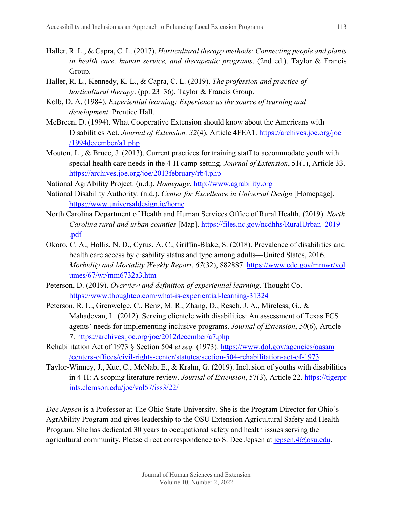- Haller, R. L., & Capra, C. L. (2017). *Horticultural therapy methods: Connecting people and plants in health care, human service, and therapeutic programs*. (2nd ed.). Taylor & Francis Group.
- Haller, R. L., Kennedy, K. L., & Capra, C. L. (2019). *The profession and practice of horticultural therapy*. (pp. 23–36). Taylor & Francis Group.
- Kolb, D. A. (1984). *Experiential learning: Experience as the source of learning and development*. Prentice Hall.
- McBreen, D. (1994). What Cooperative Extension should know about the Americans with Disabilities Act. *Journal of Extension, 32*(4), Article 4FEA1. [https://archives.joe.org/joe](https://archives.joe.org/joe%E2%80%8C/1994%E2%80%8Cdecember/a1.php) [/1994december/a1.php](https://archives.joe.org/joe%E2%80%8C/1994%E2%80%8Cdecember/a1.php)
- Mouton, L., & Bruce, J. (2013). Current practices for training staff to accommodate youth with special health care needs in the 4-H camp setting. *Journal of Extension*, 51(1), Article 33. <https://archives.joe.org/joe/2013february/rb4.php>
- National AgrAbility Project. (n.d.). *Homepage.* [http://www.agrability.org](http://www.agrability.org/)
- National Disability Authority. (n.d.). *Center for Excellence in Universal Design* [Homepage]. <https://www.universaldesign.ie/home>
- North Carolina Department of Health and Human Services Office of Rural Health. (2019). *North Carolina rural and urban counties* [Map]. [https://files.nc.gov/ncdhhs/RuralUrban\\_2019](https://files.nc.gov/ncdhhs/RuralUrban_2019%E2%80%8C.pdf) [.pdf](https://files.nc.gov/ncdhhs/RuralUrban_2019%E2%80%8C.pdf)
- Okoro, C. A., Hollis, N. D., Cyrus, A. C., Griffin-Blake, S. (2018). Prevalence of disabilities and health care access by disability status and type among adults—United States, 2016. *Morbidity and Mortality Weekly Report*, *67*(32), 882887. [https://www.cdc.gov/mmwr/vol](https://www.cdc.gov/mmwr/vol%E2%80%8Cumes%E2%80%8C/67/wr/mm6732a3.htm) [umes/67/wr/mm6732a3.htm](https://www.cdc.gov/mmwr/vol%E2%80%8Cumes%E2%80%8C/67/wr/mm6732a3.htm)
- Peterson, D. (2019). *Overview and definition of experiential learning*. Thought Co. <https://www.thoughtco.com/what-is-experiential-learning-31324>
- Peterson, R. L., Grenwelge, C., Benz, M. R., Zhang, D., Resch, J. A., Mireless, G., & Mahadevan, L. (2012). Serving clientele with disabilities: An assessment of Texas FCS agents' needs for implementing inclusive programs. *Journal of Extension*, *50*(6), Article 7.<https://archives.joe.org/joe/2012december/a7.php>
- Rehabilitation Act of 1973 § Section 504 *et seq.* (1973). [https://www.dol.gov/agencies/oasam](https://www.dol.gov/agencies/oasam%E2%80%8C/cen%E2%80%8Cters%E2%80%8C-offices/civil-rights-center/statutes/section-504-rehabilitation-act-of-1973) [/centers-offices/civil-rights-center/statutes/section-504-rehabilitation-act-of-1973](https://www.dol.gov/agencies/oasam%E2%80%8C/cen%E2%80%8Cters%E2%80%8C-offices/civil-rights-center/statutes/section-504-rehabilitation-act-of-1973)
- Taylor-Winney, J., Xue, C., McNab, E., & Krahn, G. (2019). Inclusion of youths with disabilities in 4-H: A scoping literature review. *Journal of Extension*, 57(3), Article 22. [https://tigerpr](https://tigerprints.clemson.edu/joe/vol57/iss3/22/) [ints.clemson.edu/joe/vol57/iss3/22/](https://tigerprints.clemson.edu/joe/vol57/iss3/22/)

*Dee Jepsen* is a Professor at The Ohio State University. She is the Program Director for Ohio's AgrAbility Program and gives leadership to the OSU Extension Agricultural Safety and Health Program. She has dedicated 30 years to occupational safety and health issues serving the agricultural community. Please direct correspondence to S. Dee Jepsen at  $j$ epsen. $4$ @osu.edu.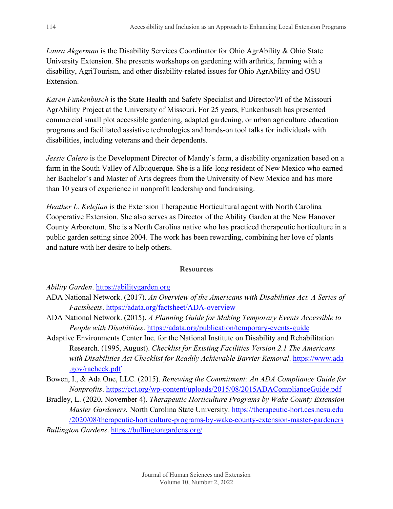*Laura Akgerman* is the Disability Services Coordinator for Ohio AgrAbility & Ohio State University Extension. She presents workshops on gardening with arthritis, farming with a disability, AgriTourism, and other disability-related issues for Ohio AgrAbility and OSU Extension.

*Karen Funkenbusch* is the State Health and Safety Specialist and Director/PI of the Missouri AgrAbility Project at the University of Missouri. For 25 years, Funkenbusch has presented commercial small plot accessible gardening, adapted gardening, or urban agriculture education programs and facilitated assistive technologies and hands-on tool talks for individuals with disabilities, including veterans and their dependents.

*Jessie Calero* is the Development Director of Mandy's farm, a disability organization based on a farm in the South Valley of Albuquerque. She is a life-long resident of New Mexico who earned her Bachelor's and Master of Arts degrees from the University of New Mexico and has more than 10 years of experience in nonprofit leadership and fundraising.

*Heather L. Kelejian* is the Extension Therapeutic Horticultural agent with North Carolina Cooperative Extension. She also serves as Director of the Ability Garden at the New Hanover County Arboretum. She is a North Carolina native who has practiced therapeutic horticulture in a public garden setting since 2004. The work has been rewarding, combining her love of plants and nature with her desire to help others.

#### **Resources**

*Ability Garden*. [https://abilitygarden.org](https://abilitygarden.org/)

- ADA National Network. (2017). *An Overview of the Americans with Disabilities Act. A Series of Factsheets*. <https://adata.org/factsheet/ADA-overview>
- ADA National Network. (2015). *A Planning Guide for Making Temporary Events Accessible to People with Disabilities.*<https://adata.org/publication/temporary-events-guide>
- Adaptive Environments Center Inc. for the National Institute on Disability and Rehabilitation Research. (1995, August). *Checklist for Existing Facilities Version 2.1 The Americans with Disabilities Act Checklist for Readily Achievable Barrier Removal*. [https://www.ada](https://www.ada.gov/racheck.pdf) [.gov/racheck.pdf](https://www.ada.gov/racheck.pdf)
- Bowen, I., & Ada One, LLC. (2015). *Renewing the Commitment: An ADA Compliance Guide for Nonprofits*.<https://cct.org/wp-content/uploads/2015/08/2015ADAComplianceGuide.pdf>
- Bradley, L. (2020, November 4). *Therapeutic Horticulture Programs by Wake County Extension Master Gardeners.* North Carolina State University. [https://therapeutic-hort.ces.ncsu.edu](https://therapeutic-hort.ces.ncsu.edu/2020/08/therapeutic-horticulture-programs-by-wake-county-extension-master-gardeners) [/2020/08/therapeutic-horticulture-programs-by-wake-county-extension-master-gardeners](https://therapeutic-hort.ces.ncsu.edu/2020/08/therapeutic-horticulture-programs-by-wake-county-extension-master-gardeners) *Bullington Gardens*. <https://bullingtongardens.org/>